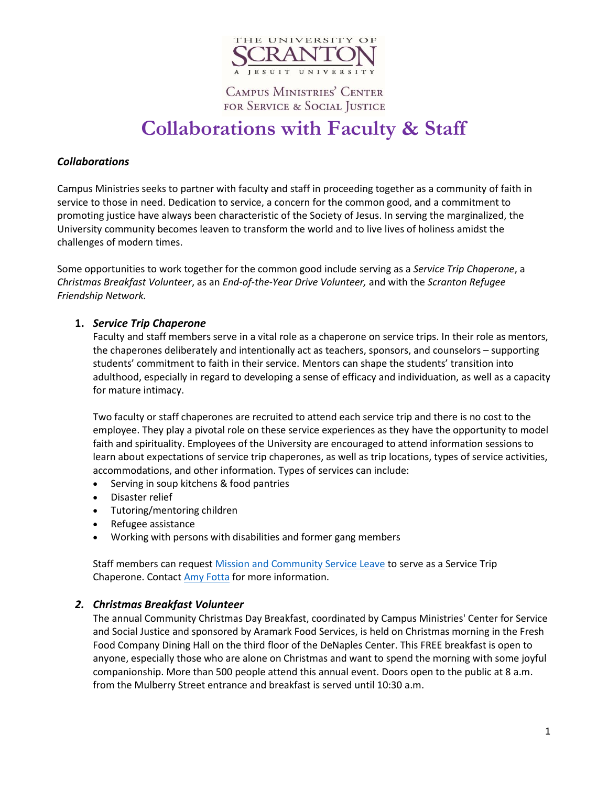

**CAMPUS MINISTRIES' CENTER** FOR SERVICE & SOCIAL JUSTICE

# **Collaborations with Faculty & Staff**

## *Collaborations*

Campus Ministries seeks to partner with faculty and staff in proceeding together as a community of faith in service to those in need. Dedication to service, a concern for the common good, and a commitment to promoting justice have always been characteristic of the Society of Jesus. In serving the marginalized, the University community becomes leaven to transform the world and to live lives of holiness amidst the challenges of modern times.

Some opportunities to work together for the common good include serving as a *Service Trip Chaperone*, a *Christmas Breakfast Volunteer*, as an *End-of-the-Year Drive Volunteer,* and with the *Scranton Refugee Friendship Network.*

## **1.** *Service Trip Chaperone*

Faculty and staff members serve in a vital role as a chaperone on service trips. In their role as mentors, the chaperones deliberately and intentionally act as teachers, sponsors, and counselors – supporting students' commitment to faith in their service. Mentors can shape the students' transition into adulthood, especially in regard to developing a sense of efficacy and individuation, as well as a capacity for mature intimacy.

Two faculty or staff chaperones are recruited to attend each service trip and there is no cost to the employee. They play a pivotal role on these service experiences as they have the opportunity to model faith and spirituality. Employees of the University are encouraged to attend information sessions to learn about expectations of service trip chaperones, as well as trip locations, types of service activities, accommodations, and other information. Types of services can include:

- Serving in soup kitchens & food pantries
- Disaster relief
- Tutoring/mentoring children
- Refugee assistance
- Working with persons with disabilities and former gang members

Staff members can reques[t Mission and Community Service Leave](http://www.scranton.edu/hr/benefits/mission-community-leave.shtml) to serve as a Service Trip Chaperone. Contact [Amy Fotta](mailto:amy.fotta@scranton.edu?subject=Service%20trip%20chaperone%20inquiry) for more information.

### *2. Christmas Breakfast Volunteer*

The annual Community Christmas Day Breakfast, coordinated by Campus Ministries' Center for Service and Social Justice and sponsored by Aramark Food Services, is held on Christmas morning in the Fresh Food Company Dining Hall on the third floor of the DeNaples Center. This FREE breakfast is open to anyone, especially those who are alone on Christmas and want to spend the morning with some joyful companionship. More than 500 people attend this annual event. Doors open to the public at 8 a.m. from the Mulberry Street entrance and breakfast is served until 10:30 a.m.